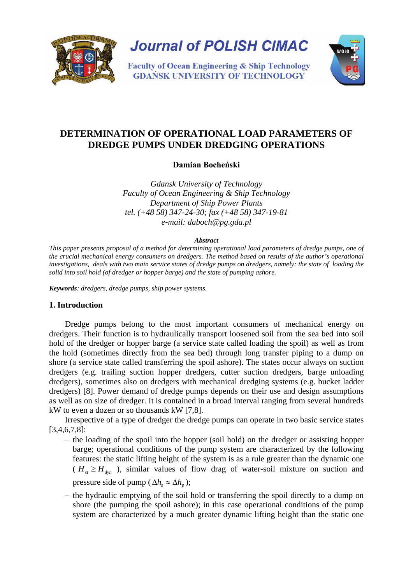

**Journal of POLISH CIMAC** 

**Faculty of Ocean Engineering & Ship Technology GDAŃSK UNIVERSITY OF TECHNOLOGY** 



# **DETERMINATION OF OPERATIONAL LOAD PARAMETERS OF DREDGE PUMPS UNDER DREDGING OPERATIONS**

**Damian Bocheński**

*Gdansk University of Technology Faculty of Ocean Engineering & Ship Technology Department of Ship Power Plants tel. (+48 58) 347-24-30; fax (+48 58) 347-19-81 e-mail: daboch@pg.gda.pl* 

#### *Abstract*

*This paper presents proposal of a method for determining operational load parameters of dredge pumps, one of the crucial mechanical energy consumers on dredgers. The method based on results of the author's operational investigations, deals with two main service states of dredge pumps on dredgers, namely: the state of loading the solid into soil hold (of dredger or hopper barge) and the state of pumping ashore.* 

*Keywords: dredgers, dredge pumps, ship power systems.*

## **1. Introduction**

Dredge pumps belong to the most important consumers of mechanical energy on dredgers. Their function is to hydraulically transport loosened soil from the sea bed into soil hold of the dredger or hopper barge (a service state called loading the spoil) as well as from the hold (sometimes directly from the sea bed) through long transfer piping to a dump on shore (a service state called transferring the spoil ashore). The states occur always on suction dredgers (e.g. trailing suction hopper dredgers, cutter suction dredgers, barge unloading dredgers), sometimes also on dredgers with mechanical dredging systems (e.g. bucket ladder dredgers) [8]. Power demand of dredge pumps depends on their use and design assumptions as well as on size of dredger. It is contained in a broad interval ranging from several hundreds kW to even a dozen or so thousands kW [7,8].

Irrespective of a type of dredger the dredge pumps can operate in two basic service states [3,4,6,7,8]:

- − the loading of the spoil into the hopper (soil hold) on the dredger or assisting hopper barge; operational conditions of the pump system are characterized by the following features: the static lifting height of the system is as a rule greater than the dynamic one  $(H_{st} \geq H_{dyn})$ , similar values of flow drag of water-soil mixture on suction and pressure side of pump ( $\Delta h_s \approx \Delta h_n$ );
- − the hydraulic emptying of the soil hold or transferring the spoil directly to a dump on shore (the pumping the spoil ashore); in this case operational conditions of the pump system are characterized by a much greater dynamic lifting height than the static one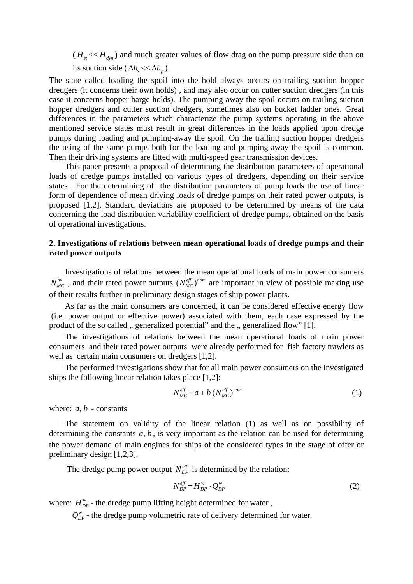$(H_{st} \ll H_{dyn})$  and much greater values of flow drag on the pump pressure side than on its suction side ( $\Delta h_s \ll \Delta h_n$ ).

The state called loading the spoil into the hold always occurs on trailing suction hopper dredgers (it concerns their own holds) , and may also occur on cutter suction dredgers (in this case it concerns hopper barge holds). The pumping-away the spoil occurs on trailing suction hopper dredgers and cutter suction dredgers, sometimes also on bucket ladder ones. Great differences in the parameters which characterize the pump systems operating in the above mentioned service states must result in great differences in the loads applied upon dredge pumps during loading and pumping-away the spoil. On the trailing suction hopper dredgers the using of the same pumps both for the loading and pumping-away the spoil is common. Then their driving systems are fitted with multi-speed gear transmission devices.

This paper presents a proposal of determining the distribution parameters of operational loads of dredge pumps installed on various types of dredgers, depending on their service states. For the determining of the distribution parameters of pump loads the use of linear form of dependence of mean driving loads of dredge pumps on their rated power outputs, is proposed [1,2]. Standard deviations are proposed to be determined by means of the data concerning the load distribution variability coefficient of dredge pumps, obtained on the basis of operational investigations.

## **2. Investigations of relations between mean operational loads of dredge pumps and their rated power outputs**

Investigations of relations between the mean operational loads of main power consumers  $N_{MC}^{av}$ , and their rated power outputs  $(N_{MC}^{eff})^{nom}$  are important in view of possible making use of their results further in preliminary design stages of ship power plants.

As far as the main consumers are concerned, it can be considered effective energy flow (i.e. power output or effective power) associated with them, each case expressed by the product of the so called , generalized potential" and the , generalized flow" [1].

The investigations of relations between the mean operational loads of main power consumers and their rated power outputs were already performed for fish factory trawlers as well as certain main consumers on dredgers [1,2].

The performed investigations show that for all main power consumers on the investigated ships the following linear relation takes place [1,2]:

$$
N_{MC}^{eff} = a + b \left( N_{MC}^{eff} \right)^{nom} \tag{1}
$$

where:  $a, b$  - constants

The statement on validity of the linear relation (1) as well as on possibility of determining the constants  $a, b$ , is very important as the relation can be used for determining the power demand of main engines for ships of the considered types in the stage of offer or preliminary design [1,2,3].

The dredge pump power output  $N_{DP}^{eff}$  is determined by the relation:

$$
N_{DP}^{\textit{eff}} = H_{DP}^{\textit{w}} \cdot Q_{DP}^{\textit{w}}
$$

where:  $H_{DP}^{\text{w}}$  - the dredge pump lifting height determined for water,

 $Q_{DP}^{\nu}$  - the dredge pump volumetric rate of delivery determined for water.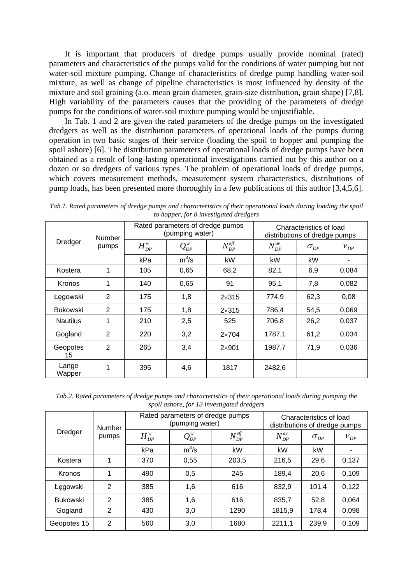It is important that producers of dredge pumps usually provide nominal (rated) parameters and characteristics of the pumps valid for the conditions of water pumping but not water-soil mixture pumping. Change of characteristics of dredge pump handling water-soil mixture, as well as change of pipeline characteristics is most influenced by density of the mixture and soil graining (a.o. mean grain diameter, grain-size distribution, grain shape) [7,8]. High variability of the parameters causes that the providing of the parameters of dredge pumps for the conditions of water-soil mixture pumping would be unjustifiable.

In Tab. 1 and 2 are given the rated parameters of the dredge pumps on the investigated dredgers as well as the distribution parameters of operational loads of the pumps during operation in two basic stages of their service (loading the spoil to hopper and pumping the spoil ashore) [6]. The distribution parameters of operational loads of dredge pumps have been obtained as a result of long-lasting operational investigations carried out by this author on a dozen or so dredgers of various types. The problem of operational loads of dredge pumps, which covers measurement methods, measurement system characteristics, distributions of pump loads, has been presented more thoroughly in a few publications of this author [3,4,5,6].

| Dredger         | Number<br>pumps | Rated parameters of dredge pumps<br>(pumping water) |            |                    | Characteristics of load<br>distributions of dredge pumps |                  |          |  |
|-----------------|-----------------|-----------------------------------------------------|------------|--------------------|----------------------------------------------------------|------------------|----------|--|
|                 |                 | $H_{DP}^{\prime\prime}$                             | $Q_{DP}^w$ | $N_{DP}^{e\!f\!f}$ | $N_{DP}^{av}$                                            | $\sigma_{_{DP}}$ | $V_{DP}$ |  |
|                 |                 | kPa                                                 | $m^3/s$    | kW                 | kW                                                       | kW               | ٠        |  |
| Kostera         | 1               | 105                                                 | 0,65       | 68,2               | 82,1                                                     | 6,9              | 0,084    |  |
| Kronos          | 1               | 140                                                 | 0,65       | 91                 | 95,1                                                     | 7,8              | 0,082    |  |
| Łęgowski        | 2               | 175                                                 | 1,8        | $2\times315$       | 774,9                                                    | 62,3             | 0,08     |  |
| <b>Bukowski</b> | 2               | 175                                                 | 1,8        | $2\times315$       | 786,4                                                    | 54,5             | 0,069    |  |
| <b>Nautilus</b> | 1               | 210                                                 | 2,5        | 525                | 706,8                                                    | 26,2             | 0,037    |  |
| Gogland         | 2               | 220                                                 | 3,2        | $2\times704$       | 61,2<br>1787,1                                           |                  | 0.034    |  |
| Geopotes<br>15  | 2               | 265                                                 | 3,4        | $2\times901$       | 1987,7                                                   | 71,9             | 0,036    |  |
| Lange<br>Wapper | 1               | 395                                                 | 4,6        | 1817               | 2482,6                                                   |                  |          |  |

*Tab.1. Rated parameters of dredge pumps and characteristics of their operational loads during loading the spoil to hopper, for 8 investigated dredgers*

*Tab.2. Rated parameters of dredge pumps and characteristics of their operational loads during pumping the spoil ashore, for 13 investigated dredgers*

| Dredger         | Number<br>pumps | Rated parameters of dredge pumps<br>(pumping water) |                                           |                    | Characteristics of load<br>distributions of dredge pumps |                  |          |  |
|-----------------|-----------------|-----------------------------------------------------|-------------------------------------------|--------------------|----------------------------------------------------------|------------------|----------|--|
|                 |                 | $H_{DP}^w$                                          | $\mathcal{Q}^{w}_{\scriptscriptstyle DP}$ | $N_{DP}^{e\!f\!f}$ | $N_{DP}^{av}$                                            | $\sigma_{_{DP}}$ | $V_{DP}$ |  |
|                 |                 | kPa                                                 | $m^3/s$                                   | kW                 | kW                                                       | kW               |          |  |
| Kostera         |                 | 370                                                 | 0,55                                      | 203,5              | 216,5<br>29,6                                            |                  | 0,137    |  |
| Kronos          |                 | 490                                                 | 0,5                                       | 245                | 189,4                                                    | 20,6             |          |  |
| Łęgowski        | 2               | 385                                                 | 1,6                                       | 616                | 832,9                                                    | 101,4            | 0,122    |  |
| <b>Bukowski</b> | 2               | 385                                                 | 1,6                                       | 616                | 835,7                                                    | 52,8             | 0,064    |  |
| Gogland         | 2               | 430                                                 | 3,0                                       | 1290               | 1815,9                                                   | 178,4            | 0,098    |  |
| Geopotes 15     | $\overline{2}$  | 560                                                 | 3,0                                       | 1680               | 2211,1                                                   | 239.9            | 0.109    |  |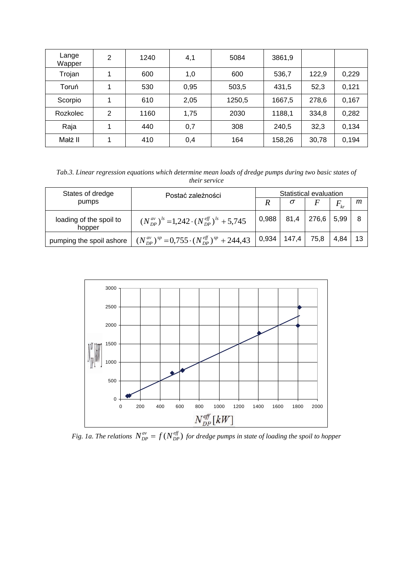| Lange<br>Wapper | 2 | 1240 | 4,1  | 5084   | 3861,9         |       |       |
|-----------------|---|------|------|--------|----------------|-------|-------|
| Trojan          |   | 600  | 1,0  | 600    | 122,9<br>536,7 |       | 0,229 |
| Toruń           | 1 | 530  | 0,95 | 503,5  | 431,5          | 52,3  | 0,121 |
| Scorpio         | 1 | 610  | 2,05 | 1250,5 | 1667,5         | 278,6 | 0,167 |
| <b>Rozkolec</b> | 2 | 1160 | 1,75 | 2030   | 1188,1         | 334,8 | 0,282 |
| Raja            | 4 | 440  | 0,7  | 308    | 240,5          | 32,3  | 0,134 |
| Małż II         | 1 | 410  | 0,4  | 164    | 158,26         | 30,78 | 0,194 |

*Tab.3. Linear regression equations which determine mean loads of dredge pumps during two basic states of their service*

| States of dredge                  | Postać zależności                                                | Statistical evaluation |       |       |              |    |
|-----------------------------------|------------------------------------------------------------------|------------------------|-------|-------|--------------|----|
| pumps                             |                                                                  | R                      |       |       | $F_{\rm kr}$ | m  |
| loading of the spoil to<br>hopper | $(N_{DP}^{av})^{ls}$ = 1,242 $\cdot (N_{DP}^{eff})^{ls}$ + 5,745 | 0.988                  | 81,4  | 276,6 | 5,99         | 8  |
| pumping the spoil ashore          | $(N_{DP}^{av})^{sp} = 0.755 \cdot (N_{DP}^{eff})^{sp} + 244.43$  | 0,934                  | 147,4 | 75,8  | 4,84         | 13 |



*Fig. 1a. The relations*  $N_{DP}^{av} = f(N_{DP}^{eff})$  $N_{DP}^{av} = f(N_{DP}^{eff})$  for dredge pumps in state of loading the spoil to hopper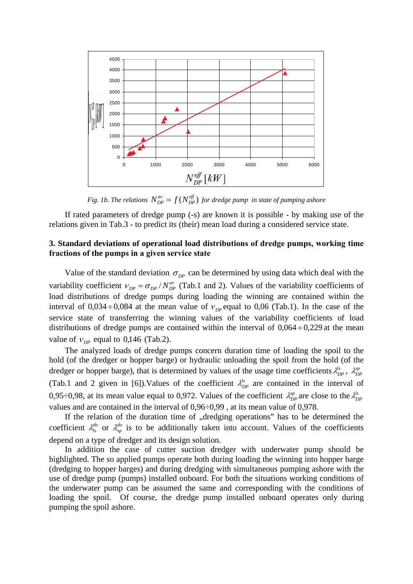

*Fig. 1b. The relations*  $N_{DP}^{av} = f(N_{DP}^{eff})$  $N_{DP}^{av} = f(N_{DP}^{e\!f\!f})$  for dredge pump in state of pumping ashore

If rated parameters of dredge pump (-s) are known it is possible - by making use of the relations given in Tab.3 - to predict its (their) mean load during a considered service state.

## **3. Standard deviations of operational load distributions of dredge pumps, working time fractions of the pumps in a given service state**

Value of the standard deviation  $\sigma_{DP}$  can be determined by using data which deal with the variability coefficient  $v_{DP} = \sigma_{DP} / N_{DP}^{av}$  (Tab.1 and 2). Values of the variability coefficients of load distributions of dredge pumps during loading the winning are contained within the interval of  $0.034 \div 0.084$  at the mean value of  $v_{\text{p}}$  equal to 0.06 (Tab.1). In the case of the service state of transferring the winning values of the variability coefficients of load distributions of dredge pumps are contained within the interval of  $0,064 \div 0,229$  at the mean value of  $v_{\text{p}p}$  equal to 0,146 (Tab.2).

The analyzed loads of dredge pumps concern duration time of loading the spoil to the hold (of the dredger or hopper barge) or hydraulic unloading the spoil from the hold (of the dredger or hopper barge), that is determined by values of the usage time coefficients  $\lambda_{DP}^{ls}$ ,  $\lambda_{DP}^{sp}$ (Tab.1 and 2 given in [6]). Values of the coefficient  $\lambda_{DP}^{ls}$  are contained in the interval of 0,95÷0,98, at its mean value equal to 0,972. Values of the coefficient  $\lambda_{DP}^{sp}$  are close to the  $\lambda_{DP}^{ls}$ values and are contained in the interval of 0,96÷0,99 , at its mean value of 0,978.

If the relation of the duration time of "dredging operations" has to be determined the coefficient  $\lambda_{1s}^{do}$  or  $\lambda_{sp}^{do}$  is to be additionally taken into account. Values of the coefficients depend on a type of dredger and its design solution.

In addition the case of cutter suction dredger with underwater pump should be highlighted. The so applied pumps operate both during loading the winning into hopper barge (dredging to hopper barges) and during dredging with simultaneous pumping ashore with the use of dredge pump (pumps) installed onboard. For both the situations working conditions of the underwater pump can be assumed the same and corresponding with the conditions of loading the spoil. Of course, the dredge pump installed onboard operates only during pumping the spoil ashore.